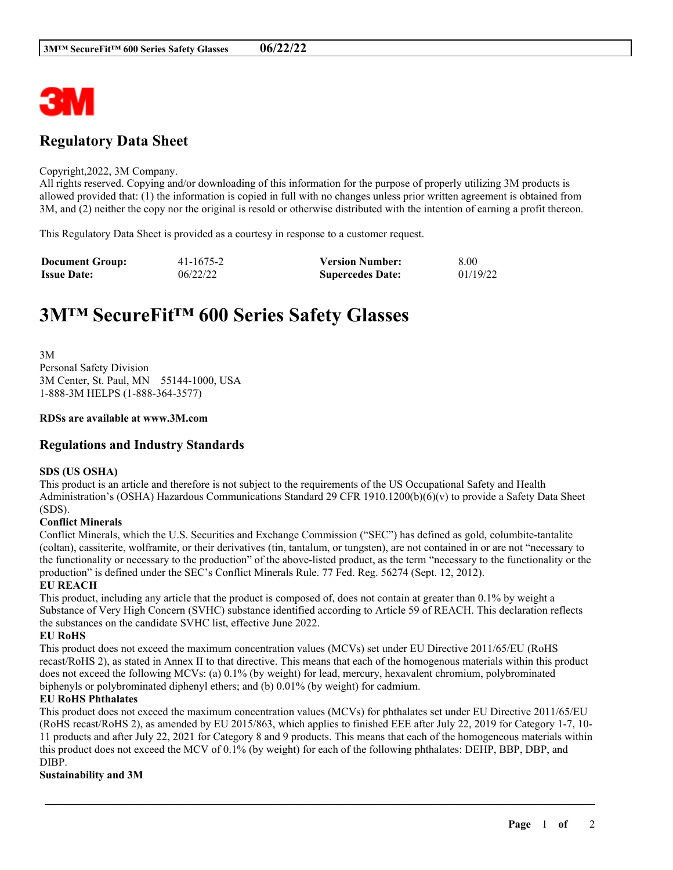

# **Regulatory Data Sheet**

#### Copyright,2022, 3M Company.

All rights reserved. Copying and/or downloading of this information for the purpose of properly utilizing 3M products is allowed provided that: (1) the information is copied in full with no changes unless prior written agreement is obtained from 3M, and (2) neither the copy nor the original is resold or otherwise distributed with the intention of earning a profit thereon.

This Regulatory Data Sheet is provided as a courtesy in response to a customer request.

| <b>Document Group:</b> | 41-1675-2 | <b>Version Number:</b>  | 8.00     |
|------------------------|-----------|-------------------------|----------|
| <b>Issue Date:</b>     | 06/22/22  | <b>Supercedes Date:</b> | 01/19/22 |

# **3M™ SecureFit™ 600 Series Safety Glasses**

3M Personal Safety Division 3M Center, St. Paul, MN 55144-1000, USA 1-888-3M HELPS (1-888-364-3577)

#### **RDSs are available at www.3M.com**

### **Regulations and Industry Standards**

#### **SDS (US OSHA)**

This product is an article and therefore is not subject to the requirements of the US Occupational Safety and Health Administration's (OSHA) Hazardous Communications Standard 29 CFR 1910.1200(b)(6)(v) to provide a Safety Data Sheet (SDS).

#### **Conflict Minerals**

Conflict Minerals, which the U.S. Securities and Exchange Commission ("SEC") has defined as gold, columbite-tantalite (coltan), cassiterite, wolframite, or their derivatives (tin, tantalum, or tungsten), are not contained in or are not "necessary to the functionality or necessary to the production" of the above-listed product, as the term "necessary to the functionality or the production" is defined under the SEC's Conflict Minerals Rule. 77 Fed. Reg. 56274 (Sept. 12, 2012).

#### **EU REACH**

This product, including any article that the product is composed of, does not contain at greater than 0.1% by weight a Substance of Very High Concern (SVHC) substance identified according to Article 59 of REACH. This declaration reflects the substances on the candidate SVHC list, effective June 2022.

#### **EU RoHS**

This product does not exceed the maximum concentration values (MCVs) set under EU Directive 2011/65/EU (RoHS recast/RoHS 2), as stated in Annex II to that directive. This means that each of the homogenous materials within this product does not exceed the following MCVs: (a) 0.1% (by weight) for lead, mercury, hexavalent chromium, polybrominated biphenyls or polybrominated diphenyl ethers; and (b) 0.01% (by weight) for cadmium.

#### **EU RoHS Phthalates**

This product does not exceed the maximum concentration values (MCVs) for phthalates set under EU Directive 2011/65/EU (RoHS recast/RoHS 2), as amended by EU 2015/863, which applies to finished EEE after July 22, 2019 for Category 1-7, 10- 11 products and after July 22, 2021 for Category 8 and 9 products. This means that each of the homogeneous materials within this product does not exceed the MCV of 0.1% (by weight) for each of the following phthalates: DEHP, BBP, DBP, and DIBP.

\_\_\_\_\_\_\_\_\_\_\_\_\_\_\_\_\_\_\_\_\_\_\_\_\_\_\_\_\_\_\_\_\_\_\_\_\_\_\_\_\_\_\_\_\_\_\_\_\_\_\_\_\_\_\_\_\_\_\_\_\_\_\_\_\_\_\_\_\_\_\_\_\_\_\_\_\_\_\_\_\_\_\_\_\_\_\_\_\_\_

#### **Sustainability and 3M**